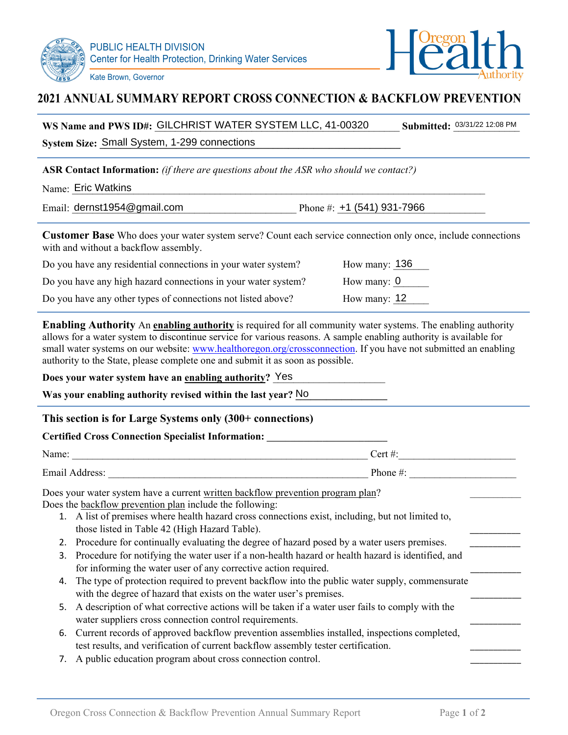



## **2021 ANNUAL SUMMARY REPORT CROSS CONNECTION & BACKFLOW PREVENTION**

| WS Name and PWS ID#: GILCHRIST WATER SYSTEM LLC, 41-00320 | <b>Submitted: 03/31/22 12:08 PM</b> |
|-----------------------------------------------------------|-------------------------------------|
|-----------------------------------------------------------|-------------------------------------|

**System Size: Small System, 1-299 connections** 

**ASR Contact Information:** *(if there are questions about the ASR who should we contact?)*

 $Name:$  Eric Watkins and the set of the set of the set of the set of the set of the set of the set of the set of the set of the set of the set of the set of the set of the set of the set of the set of the set of the set of t

Email:  $dernst1954@gmail.com$ Phone #:  $+1$  (541) 931-7966

**Customer Base** Who does your water system serve? Count each service connection only once, include connections with and without a backflow assembly.

| Do you have any residential connections in your water system? | How many: $136$ |
|---------------------------------------------------------------|-----------------|
| Do you have any high hazard connections in your water system? | How many: $0$   |
| Do you have any other types of connections not listed above?  | How many: $12$  |

**Enabling Authority** An **enabling authority** is required for all community water systems. The enabling authority allows for a water system to discontinue service for various reasons. A sample enabling authority is available for small water systems on our website: www.healthoregon.org/crossconnection. If you have not submitted an enabling authority to the State, please complete one and submit it as soon as possible.

#### **Does your water system have an <u>enabling authority</u>? Yes**

Was your enabling authority revised within the last year? No

### **This section is for Large Systems only (300+ connections)**

#### **Certified Cross Connection Specialist Information: \_\_\_\_\_\_\_\_\_\_\_\_\_\_\_\_\_\_\_\_\_\_\_\_\_\_**

| Name:          | $\lceil$ ert $\#$ |
|----------------|-------------------|
| Email Address: | Phone #:          |

Does your water system have a current written backflow prevention program plan? Does the backflow prevention plan include the following:

- 1. A list of premises where health hazard cross connections exist, including, but not limited to, those listed in Table 42 (High Hazard Table).
- 2. Procedure for continually evaluating the degree of hazard posed by a water users premises.
- 3. Procedure for notifying the water user if a non-health hazard or health hazard is identified, and for informing the water user of any corrective action required.
- 4. The type of protection required to prevent backflow into the public water supply, commensurate with the degree of hazard that exists on the water user's premises.
- 5. A description of what corrective actions will be taken if a water user fails to comply with the water suppliers cross connection control requirements.
- 6. Current records of approved backflow prevention assemblies installed, inspections completed, test results, and verification of current backflow assembly tester certification.
- 7. A public education program about cross connection control.